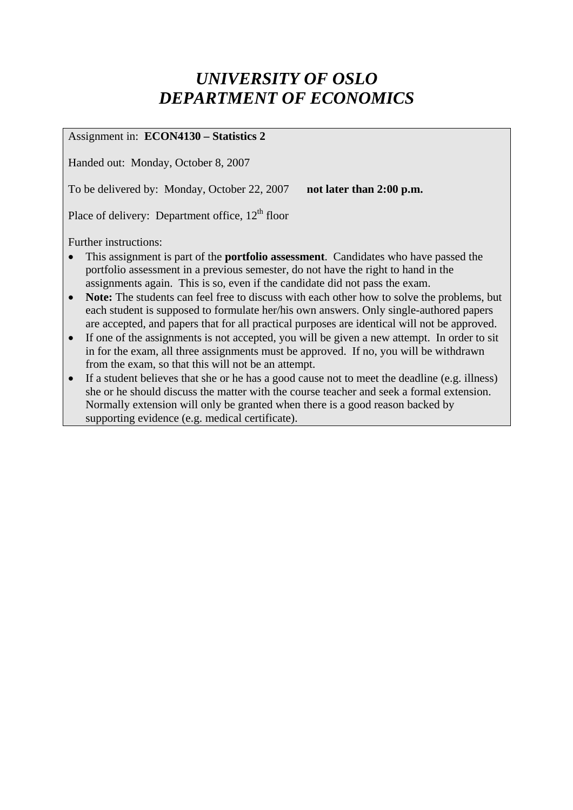# *UNIVERSITY OF OSLO DEPARTMENT OF ECONOMICS*

Assignment in: **ECON4130 – Statistics 2** 

Handed out: Monday, October 8, 2007

To be delivered by: Monday, October 22, 2007 not later than 2:00 p.m.

Place of delivery: Department office,  $12<sup>th</sup>$  floor

Further instructions:

- This assignment is part of the **portfolio assessment**. Candidates who have passed the portfolio assessment in a previous semester, do not have the right to hand in the assignments again. This is so, even if the candidate did not pass the exam.
- **Note:** The students can feel free to discuss with each other how to solve the problems, but each student is supposed to formulate her/his own answers. Only single-authored papers are accepted, and papers that for all practical purposes are identical will not be approved.
- If one of the assignments is not accepted, you will be given a new attempt. In order to sit in for the exam, all three assignments must be approved. If no, you will be withdrawn from the exam, so that this will not be an attempt.
- If a student believes that she or he has a good cause not to meet the deadline (e.g. illness) she or he should discuss the matter with the course teacher and seek a formal extension. Normally extension will only be granted when there is a good reason backed by supporting evidence (e.g. medical certificate).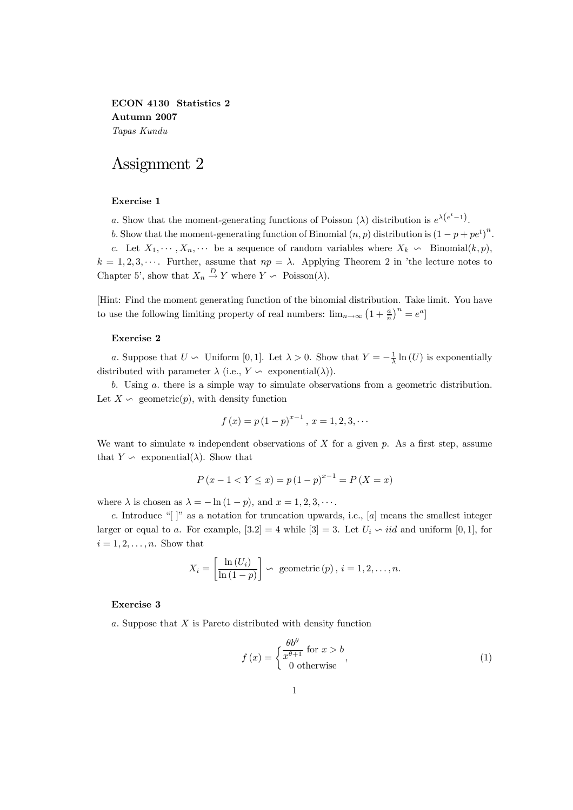ECON 4130 Statistics 2 Autumn 2007 Tapas Kundu

## Assignment 2

#### Exercise 1

a. Show that the moment-generating functions of Poisson ( $\lambda$ ) distribution is  $e^{\lambda(e^t-1)}$ .

b. Show that the moment-generating function of Binomial  $(n, p)$  distribution is  $(1 - p + pe^t)^n$ . c. Let  $X_1, \dots, X_n, \dots$  be a sequence of random variables where  $X_k \setminus \mathbb{R}$  Binomial $(k, p)$ ,  $k = 1, 2, 3, \cdots$ . Further, assume that  $np = \lambda$ . Applying Theorem 2 in 'the lecture notes to Chapter 5', show that  $X_n \stackrel{D}{\to} Y$  where  $Y \backsim \text{Poisson}(\lambda)$ .

[Hint: Find the moment generating function of the binomial distribution. Take limit. You have to use the following limiting property of real numbers:  $\lim_{n\to\infty} (1 + \frac{a}{n})^n = e^a$ 

#### Exercise 2

a. Suppose that  $U \backsim$  Uniform [0, 1]. Let  $\lambda > 0$ . Show that  $Y = -\frac{1}{\lambda} \ln(U)$  is exponentially distributed with parameter  $\lambda$  (i.e.,  $Y \backsim$  exponential( $\lambda$ )).

b. Using a. there is a simple way to simulate observations from a geometric distribution. Let  $X \subseteq \mathcal{S}$  geometric(p), with density function

$$
f(x) = p(1-p)^{x-1}, x = 1, 2, 3, \cdots
$$

We want to simulate n independent observations of  $X$  for a given p. As a first step, assume that  $Y \subseteq \text{exponential}(\lambda)$ . Show that

$$
P(x - 1 < Y \le x) = p(1 - p)^{x - 1} = P(X = x)
$$

where  $\lambda$  is chosen as  $\lambda = -\ln(1-p)$ , and  $x = 1, 2, 3, \cdots$ .

c. Introduce " $\vert \cdot \vert$ " as a notation for truncation upwards, i.e.,  $\vert a \vert$  means the smallest integer larger or equal to a. For example,  $[3.2] = 4$  while  $[3] = 3$ . Let  $U_i \backsim iid$  and uniform  $[0, 1]$ , for  $i = 1, 2, \ldots, n$ . Show that

$$
X_i = \left[\frac{\ln\left(U_i\right)}{\ln\left(1-p\right)}\right] \backsim \text{ geometric } (p), i = 1, 2, \dots, n.
$$

### Exercise 3

a. Suppose that  $X$  is Pareto distributed with density function

$$
f(x) = \begin{cases} \frac{\theta b^{\theta}}{x^{\theta+1}} & \text{for } x > b \\ 0 & \text{otherwise} \end{cases}
$$
 (1)